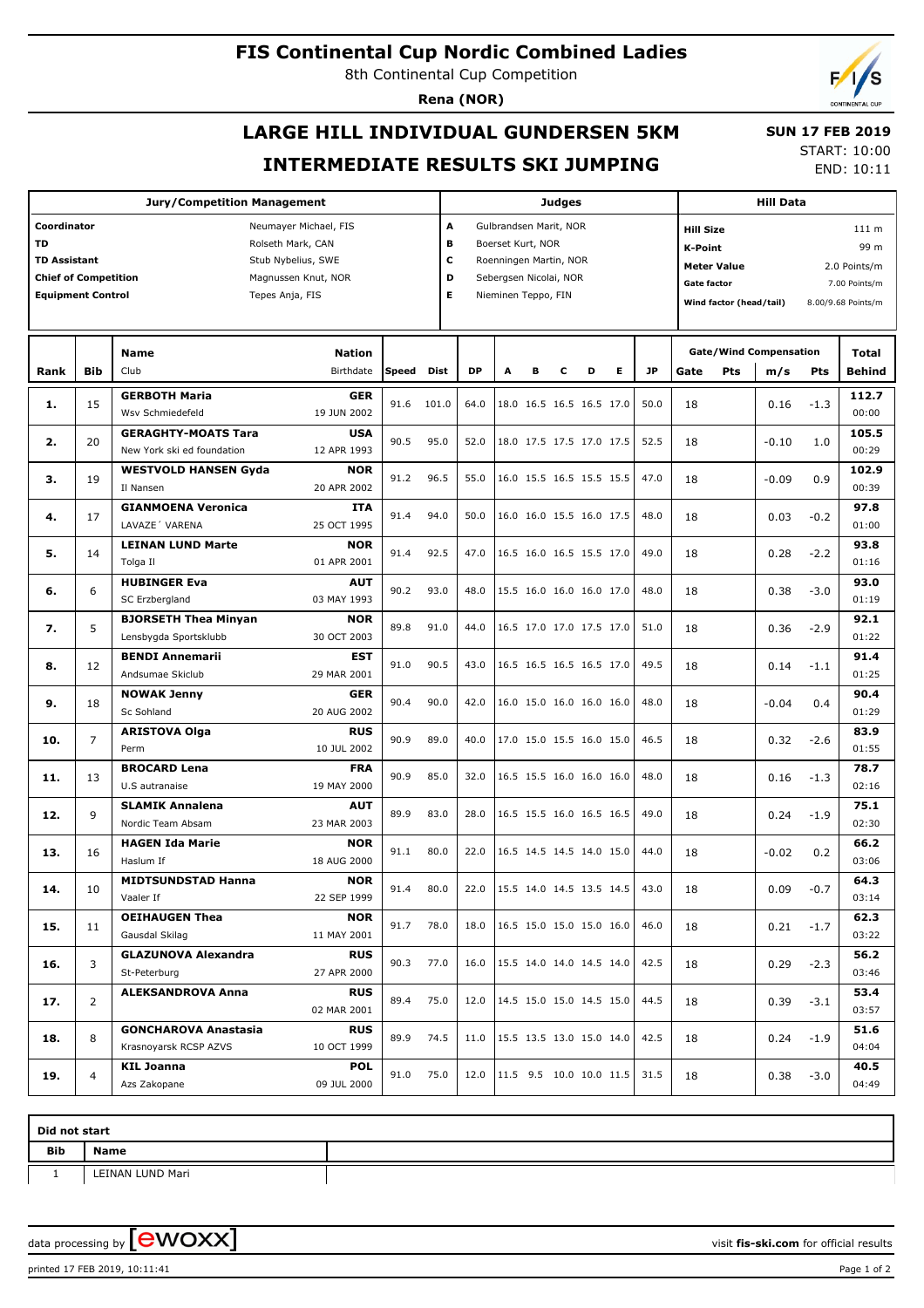# **FIS Continental Cup Nordic Combined Ladies**

8th Continental Cup Competition

**Rena (NOR)**

# **LARGE HILL INDIVIDUAL GUNDERSEN 5KM INTERMEDIATE RESULTS SKI JUMPING**

 **SUN 17 FEB 2019** START: 10:00

END: 10:11

|                                           |                | <b>Judges</b>                                     |            |       |       |                             |                        |                          |   | <b>Hill Data</b>         |                               |      |                                               |                           |         |        |               |  |
|-------------------------------------------|----------------|---------------------------------------------------|------------|-------|-------|-----------------------------|------------------------|--------------------------|---|--------------------------|-------------------------------|------|-----------------------------------------------|---------------------------|---------|--------|---------------|--|
| Coordinator<br>Neumayer Michael, FIS      |                |                                                   |            |       |       | A<br>Gulbrandsen Marit, NOR |                        |                          |   |                          |                               |      |                                               | <b>Hill Size</b><br>111 m |         |        |               |  |
| <b>TD</b><br>Rolseth Mark, CAN            |                |                                                   |            |       |       | в<br>Boerset Kurt, NOR      |                        |                          |   |                          |                               |      | K-Point                                       |                           |         | 99 m   |               |  |
| <b>TD Assistant</b><br>Stub Nybelius, SWE |                |                                                   |            |       |       | c<br>Roenningen Martin, NOR |                        |                          |   |                          |                               |      |                                               | <b>Meter Value</b>        |         |        | 2.0 Points/m  |  |
| <b>Chief of Competition</b>               |                | Magnussen Knut, NOR                               |            |       | D     |                             | Sebergsen Nicolai, NOR |                          |   |                          |                               |      | <b>Gate factor</b>                            |                           |         |        | 7.00 Points/m |  |
| <b>Equipment Control</b>                  |                | Tepes Anja, FIS                                   |            |       | E     |                             | Nieminen Teppo, FIN    |                          |   |                          |                               |      |                                               |                           |         |        |               |  |
|                                           |                |                                                   |            |       |       |                             |                        |                          |   |                          |                               |      | Wind factor (head/tail)<br>8.00/9.68 Points/m |                           |         |        |               |  |
|                                           |                |                                                   |            |       |       |                             |                        |                          |   |                          | <b>Gate/Wind Compensation</b> |      |                                               |                           | Total   |        |               |  |
| Rank                                      | <b>Bib</b>     | <b>Name</b><br><b>Nation</b><br>Club<br>Birthdate |            | Speed | Dist  | DP                          | A                      | B                        | с | D                        | Е                             | JP   | Gate                                          | <b>Pts</b>                | m/s     | Pts    | Behind        |  |
|                                           |                | <b>GERBOTH Maria</b>                              | <b>GER</b> |       |       |                             |                        |                          |   |                          |                               |      |                                               |                           |         |        | 112.7         |  |
| 1.                                        | 15             | Wsv Schmiedefeld<br>19 JUN 2002                   |            | 91.6  | 101.0 | 64.0                        |                        |                          |   | 18.0 16.5 16.5 16.5 17.0 |                               | 50.0 | 18                                            |                           | 0.16    | $-1.3$ | 00:00         |  |
|                                           |                | <b>GERAGHTY-MOATS Tara</b>                        | <b>USA</b> |       |       |                             |                        |                          |   |                          |                               |      |                                               |                           |         |        | 105.5         |  |
| 2.                                        | 20             | New York ski ed foundation<br>12 APR 1993         |            | 90.5  | 95.0  | 52.0                        |                        |                          |   | 18.0 17.5 17.5 17.0 17.5 |                               | 52.5 | 18                                            |                           | $-0.10$ | 1.0    | 00:29         |  |
|                                           |                | <b>WESTVOLD HANSEN Gyda</b>                       | <b>NOR</b> |       |       |                             |                        |                          |   |                          |                               |      |                                               |                           |         |        | 102.9         |  |
| з.                                        | 19             | Il Nansen<br>20 APR 2002                          |            | 91.2  | 96.5  | 55.0                        |                        |                          |   | 16.0 15.5 16.5 15.5 15.5 |                               | 47.0 | 18                                            |                           | $-0.09$ | 0.9    | 00:39         |  |
|                                           |                | <b>GIANMOENA Veronica</b>                         | <b>ITA</b> |       |       |                             |                        |                          |   |                          |                               |      |                                               |                           |         |        | 97.8          |  |
| 4.                                        | 17             | LAVAZE' VARENA<br>25 OCT 1995                     |            | 91.4  | 94.0  | 50.0                        |                        |                          |   | 16.0 16.0 15.5 16.0 17.5 |                               | 48.0 | 18                                            |                           | 0.03    | $-0.2$ | 01:00         |  |
|                                           | 14             | <b>LEINAN LUND Marte</b>                          | <b>NOR</b> |       |       |                             |                        |                          |   |                          |                               |      |                                               |                           |         |        | 93.8          |  |
| 5.                                        |                | Tolga Il<br>01 APR 2001                           |            | 91.4  | 92.5  | 47.0                        |                        |                          |   | 16.5 16.0 16.5 15.5 17.0 |                               | 49.0 | 18                                            |                           | 0.28    | $-2.2$ | 01:16         |  |
|                                           |                | <b>HUBINGER Eva</b>                               | <b>AUT</b> |       |       |                             |                        |                          |   |                          |                               |      |                                               |                           |         |        | 93.0          |  |
| 6.                                        | 6              | SC Erzbergland<br>03 MAY 1993                     |            | 90.2  | 93.0  | 48.0                        |                        |                          |   | 15.5 16.0 16.0 16.0 17.0 |                               | 48.0 | 18                                            |                           | 0.38    | $-3.0$ | 01:19         |  |
|                                           |                | <b>BJORSETH Thea Minyan</b>                       | <b>NOR</b> |       |       |                             |                        |                          |   |                          |                               |      |                                               |                           |         |        | 92.1          |  |
| 7.                                        | 5              | Lensbygda Sportsklubb<br>30 OCT 2003              |            | 89.8  | 91.0  | 44.0                        |                        |                          |   | 16.5 17.0 17.0 17.5 17.0 |                               | 51.0 | 18                                            |                           | 0.36    | $-2.9$ | 01:22         |  |
|                                           |                | <b>BENDI Annemarii</b>                            | <b>EST</b> |       | 90.5  |                             |                        |                          |   |                          |                               |      |                                               |                           |         |        | 91.4          |  |
| 8.                                        | 12             | Andsumae Skiclub<br>29 MAR 2001                   |            | 91.0  |       | 43.0                        |                        |                          |   | 16.5 16.5 16.5 16.5 17.0 |                               | 49.5 | 18                                            |                           | 0.14    | $-1.1$ | 01:25         |  |
|                                           |                | <b>NOWAK Jenny</b>                                | <b>GER</b> |       |       |                             |                        |                          |   |                          |                               |      |                                               |                           |         |        | 90.4          |  |
| 9.                                        | 18             | Sc Sohland<br>20 AUG 2002                         |            | 90.4  | 90.0  | 42.0                        |                        |                          |   | 16.0 15.0 16.0 16.0 16.0 |                               | 48.0 | 18                                            |                           | $-0.04$ | 0.4    | 01:29         |  |
|                                           |                | <b>ARISTOVA Olga</b>                              | <b>RUS</b> |       |       |                             |                        |                          |   |                          |                               |      |                                               |                           |         |        | 83.9          |  |
| 10.                                       | $\overline{7}$ | 10 JUL 2002<br>Perm                               |            | 90.9  | 89.0  | 40.0                        |                        |                          |   | 17.0 15.0 15.5 16.0 15.0 |                               | 46.5 | 18                                            |                           | 0.32    | $-2.6$ | 01:55         |  |
|                                           |                | <b>BROCARD Lena</b>                               | <b>FRA</b> |       |       |                             |                        |                          |   |                          |                               |      |                                               |                           |         |        | 78.7          |  |
| 11.                                       | 13             | U.S autranaise<br>19 MAY 2000                     |            | 90.9  | 85.0  | 32.0                        |                        |                          |   | 16.5 15.5 16.0 16.0 16.0 |                               | 48.0 | 18                                            |                           | 0.16    | $-1.3$ | 02:16         |  |
|                                           |                | <b>SLAMIK Annalena</b>                            | <b>AUT</b> |       | 83.0  |                             |                        | 16.5 15.5 16.0 16.5 16.5 |   |                          |                               | 49.0 | 18                                            | 0.24                      |         | 75.1   |               |  |
| 12.                                       | 9              | Nordic Team Absam<br>23 MAR 2003                  |            | 89.9  |       | 28.0                        |                        |                          |   |                          |                               |      |                                               |                           | $-1.9$  | 02:30  |               |  |
|                                           |                | <b>HAGEN Ida Marie</b>                            | <b>NOR</b> |       | 80.0  |                             |                        |                          |   |                          | 16.5 14.5 14.5 14.0 15.0      |      | 18                                            |                           |         |        | 66.2          |  |
| 13.                                       | 16             | 18 AUG 2000<br>Haslum If                          |            | 91.1  |       | 22.0                        |                        |                          |   |                          |                               | 44.0 |                                               | $-0.02$                   | 0.2     | 03:06  |               |  |
|                                           |                | <b>MIDTSUNDSTAD Hanna</b>                         | <b>NOR</b> |       | 80.0  |                             |                        |                          |   |                          |                               |      | 18                                            |                           |         |        | 64.3          |  |
| 14.                                       | 10             | 22 SEP 1999<br>Vaaler If                          |            | 91.4  |       | 22.0                        |                        |                          |   | 15.5 14.0 14.5 13.5 14.5 |                               | 43.0 |                                               | 0.09                      | $-0.7$  | 03:14  |               |  |
|                                           |                | <b>OEIHAUGEN Thea</b>                             | <b>NOR</b> |       |       |                             |                        |                          |   |                          |                               |      |                                               |                           |         |        | 62.3          |  |
| 15.                                       | 11             | 11 MAY 2001<br>Gausdal Skilag                     |            | 91.7  | 78.0  | 18.0                        |                        |                          |   | 16.5 15.0 15.0 15.0 16.0 |                               | 46.0 | 18                                            |                           | 0.21    | $-1.7$ | 03:22         |  |
|                                           | 3              | <b>GLAZUNOVA Alexandra</b>                        | <b>RUS</b> |       |       |                             |                        |                          |   |                          |                               |      |                                               |                           |         |        | 56.2          |  |
| 16.                                       |                | 27 APR 2000<br>St-Peterburg                       |            | 90.3  | 77.0  | 16.0                        |                        |                          |   | 15.5 14.0 14.0 14.5 14.0 |                               | 42.5 | 18                                            | 0.29                      | $-2.3$  | 03:46  |               |  |
|                                           |                | <b>ALEKSANDROVA Anna</b>                          | <b>RUS</b> |       |       |                             |                        |                          |   |                          |                               |      |                                               |                           |         |        | 53.4          |  |
| 17.                                       | $\overline{2}$ | 02 MAR 2001                                       |            | 89.4  | 75.0  | 12.0                        |                        |                          |   | 14.5 15.0 15.0 14.5 15.0 |                               | 44.5 | 18                                            |                           | 0.39    | $-3.1$ | 03:57         |  |
|                                           |                | <b>GONCHAROVA Anastasia</b>                       | <b>RUS</b> |       |       |                             |                        |                          |   |                          |                               |      |                                               |                           |         | 51.6   |               |  |
| 18.                                       | 8              | Krasnoyarsk RCSP AZVS<br>10 OCT 1999              |            | 89.9  | 74.5  | 11.0                        |                        |                          |   | 15.5 13.5 13.0 15.0 14.0 |                               | 42.5 | 18                                            |                           | 0.24    | $-1.9$ | 04:04         |  |
|                                           |                | KIL Joanna                                        | <b>POL</b> |       |       |                             |                        |                          |   |                          |                               |      |                                               |                           |         |        | 40.5          |  |
| 19.                                       | $\overline{4}$ | Azs Zakopane<br>09 JUL 2000                       |            | 91.0  | 75.0  | 12.0                        |                        |                          |   | 11.5 9.5 10.0 10.0 11.5  |                               | 31.5 | 18                                            |                           | 0.38    | $-3.0$ | 04:49         |  |
|                                           |                |                                                   |            |       |       |                             |                        |                          |   |                          |                               |      |                                               |                           |         |        |               |  |

| Did not start |                  |  |  |  |  |  |  |  |  |  |  |
|---------------|------------------|--|--|--|--|--|--|--|--|--|--|
| <b>Bib</b>    | <b>Name</b>      |  |  |  |  |  |  |  |  |  |  |
|               | LEINAN LUND Mari |  |  |  |  |  |  |  |  |  |  |

data processing by  $\boxed{\text{ewOX}}$